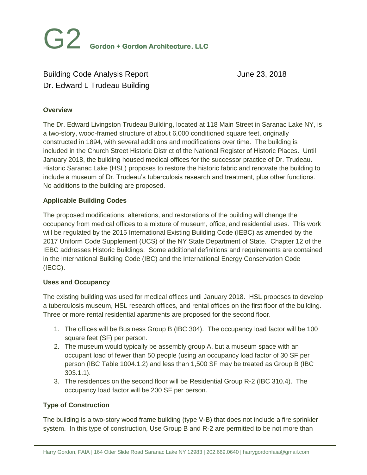# Building Code Analysis Report June 23, 2018 Dr. Edward L Trudeau Building

# **Overview**

The Dr. Edward Livingston Trudeau Building, located at 118 Main Street in Saranac Lake NY, is a two-story, wood-framed structure of about 6,000 conditioned square feet, originally constructed in 1894, with several additions and modifications over time. The building is included in the Church Street Historic District of the National Register of Historic Places. Until January 2018, the building housed medical offices for the successor practice of Dr. Trudeau. Historic Saranac Lake (HSL) proposes to restore the historic fabric and renovate the building to include a museum of Dr. Trudeau's tuberculosis research and treatment, plus other functions. No additions to the building are proposed.

# **Applicable Building Codes**

The proposed modifications, alterations, and restorations of the building will change the occupancy from medical offices to a mixture of museum, office, and residential uses. This work will be regulated by the 2015 International Existing Building Code (IEBC) as amended by the 2017 Uniform Code Supplement (UCS) of the NY State Department of State. Chapter 12 of the IEBC addresses Historic Buildings. Some additional definitions and requirements are contained in the International Building Code (IBC) and the International Energy Conservation Code (IECC).

#### **Uses and Occupancy**

The existing building was used for medical offices until January 2018. HSL proposes to develop a tuberculosis museum, HSL research offices, and rental offices on the first floor of the building. Three or more rental residential apartments are proposed for the second floor.

- 1. The offices will be Business Group B (IBC 304). The occupancy load factor will be 100 square feet (SF) per person.
- 2. The museum would typically be assembly group A, but a museum space with an occupant load of fewer than 50 people (using an occupancy load factor of 30 SF per person (IBC Table 1004.1.2) and less than 1,500 SF may be treated as Group B (IBC 303.1.1).
- 3. The residences on the second floor will be Residential Group R-2 (IBC 310.4). The occupancy load factor will be 200 SF per person.

# **Type of Construction**

The building is a two-story wood frame building (type V-B) that does not include a fire sprinkler system. In this type of construction, Use Group B and R-2 are permitted to be not more than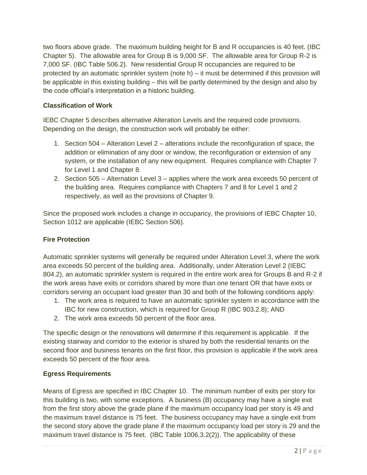two floors above grade. The maximum building height for B and R occupancies is 40 feet. (IBC Chapter 5). The allowable area for Group B is 9,000 SF. The allowable area for Group R-2 is 7,000 SF. (IBC Table 506.2). New residential Group R occupancies are required to be protected by an automatic sprinkler system (note h) – it must be determined if this provision will be applicable in this existing building – this will be partly determined by the design and also by the code official's interpretation in a historic building.

# **Classification of Work**

IEBC Chapter 5 describes alternative Alteration Levels and the required code provisions. Depending on the design, the construction work will probably be either:

- 1. Section 504 Alteration Level 2 alterations include the reconfiguration of space, the addition or elimination of any door or window, the reconfiguration or extension of any system, or the installation of any new equipment. Requires compliance with Chapter 7 for Level 1 and Chapter 8.
- 2. Section 505 Alternation Level 3 applies where the work area exceeds 50 percent of the building area. Requires compliance with Chapters 7 and 8 for Level 1 and 2 respectively, as well as the provisions of Chapter 9.

Since the proposed work includes a change in occupancy, the provisions of IEBC Chapter 10, Section 1012 are applicable (IEBC Section 506).

# **Fire Protection**

Automatic sprinkler systems will generally be required under Alteration Level 3, where the work area exceeds 50 percent of the building area. Additionally, under Alteration Level 2 (IEBC 804.2), an automatic sprinkler system is required in the entire work area for Groups B and R-2 if the work areas have exits or corridors shared by more than one tenant OR that have exits or corridors serving an occupant load greater than 30 and both of the following conditions apply:

- 1. The work area is required to have an automatic sprinkler system in accordance with the IBC for new construction, which is required for Group R (IBC 903.2.8); AND
- 2. The work area exceeds 50 percent of the floor area.

The specific design or the renovations will determine if this requirement is applicable. If the existing stairway and corridor to the exterior is shared by both the residential tenants on the second floor and business tenants on the first floor, this provision is applicable if the work area exceeds 50 percent of the floor area.

# **Egress Requirements**

Means of Egress are specified in IBC Chapter 10. The minimum number of exits per story for this building is two, with some exceptions. A business (B) occupancy may have a single exit from the first story above the grade plane if the maximum occupancy load per story is 49 and the maximum travel distance is 75 feet. The business occupancy may have a single exit from the second story above the grade plane if the maximum occupancy load per story is 29 and the maximum travel distance is 75 feet. (IBC Table 1006.3.2(2)). The applicability of these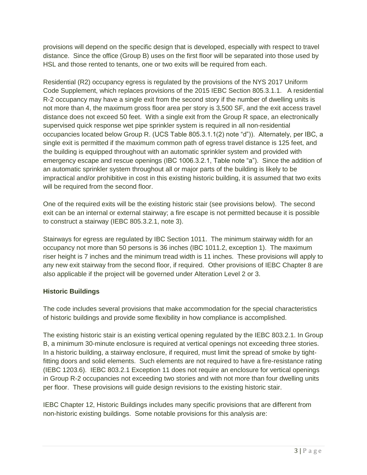provisions will depend on the specific design that is developed, especially with respect to travel distance. Since the office (Group B) uses on the first floor will be separated into those used by HSL and those rented to tenants, one or two exits will be required from each.

Residential (R2) occupancy egress is regulated by the provisions of the NYS 2017 Uniform Code Supplement, which replaces provisions of the 2015 IEBC Section 805.3.1.1. A residential R-2 occupancy may have a single exit from the second story if the number of dwelling units is not more than 4, the maximum gross floor area per story is 3,500 SF, and the exit access travel distance does not exceed 50 feet. With a single exit from the Group R space, an electronically supervised quick response wet pipe sprinkler system is required in all non-residential occupancies located below Group R. (UCS Table 805.3.1.1(2) note "d")). Alternately, per IBC, a single exit is permitted if the maximum common path of egress travel distance is 125 feet, and the building is equipped throughout with an automatic sprinkler system and provided with emergency escape and rescue openings (IBC 1006.3.2.1, Table note "a"). Since the addition of an automatic sprinkler system throughout all or major parts of the building is likely to be impractical and/or prohibitive in cost in this existing historic building, it is assumed that two exits will be required from the second floor.

One of the required exits will be the existing historic stair (see provisions below). The second exit can be an internal or external stairway; a fire escape is not permitted because it is possible to construct a stairway (IEBC 805.3.2.1, note 3).

Stairways for egress are regulated by IBC Section 1011. The minimum stairway width for an occupancy not more than 50 persons is 36 inches (IBC 1011.2, exception 1). The maximum riser height is 7 inches and the minimum tread width is 11 inches. These provisions will apply to any new exit stairway from the second floor, if required. Other provisions of IEBC Chapter 8 are also applicable if the project will be governed under Alteration Level 2 or 3.

# **Historic Buildings**

The code includes several provisions that make accommodation for the special characteristics of historic buildings and provide some flexibility in how compliance is accomplished.

The existing historic stair is an existing vertical opening regulated by the IEBC 803.2.1. In Group B, a minimum 30-minute enclosure is required at vertical openings not exceeding three stories. In a historic building, a stairway enclosure, if required, must limit the spread of smoke by tightfitting doors and solid elements. Such elements are not required to have a fire-resistance rating (IEBC 1203.6). IEBC 803.2.1 Exception 11 does not require an enclosure for vertical openings in Group R-2 occupancies not exceeding two stories and with not more than four dwelling units per floor. These provisions will guide design revisions to the existing historic stair.

IEBC Chapter 12, Historic Buildings includes many specific provisions that are different from non-historic existing buildings. Some notable provisions for this analysis are: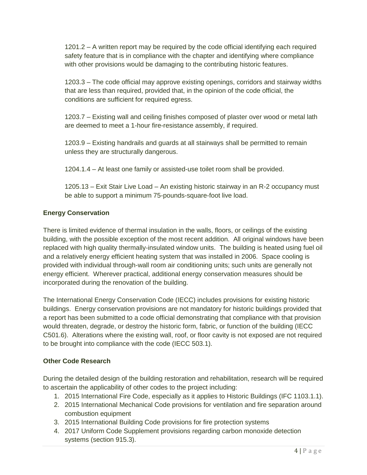1201.2 – A written report may be required by the code official identifying each required safety feature that is in compliance with the chapter and identifying where compliance with other provisions would be damaging to the contributing historic features.

1203.3 – The code official may approve existing openings, corridors and stairway widths that are less than required, provided that, in the opinion of the code official, the conditions are sufficient for required egress.

1203.7 – Existing wall and ceiling finishes composed of plaster over wood or metal lath are deemed to meet a 1-hour fire-resistance assembly, if required.

1203.9 – Existing handrails and guards at all stairways shall be permitted to remain unless they are structurally dangerous.

1204.1.4 – At least one family or assisted-use toilet room shall be provided.

1205.13 – Exit Stair Live Load – An existing historic stairway in an R-2 occupancy must be able to support a minimum 75-pounds-square-foot live load.

# **Energy Conservation**

There is limited evidence of thermal insulation in the walls, floors, or ceilings of the existing building, with the possible exception of the most recent addition. All original windows have been replaced with high quality thermally-insulated window units. The building is heated using fuel oil and a relatively energy efficient heating system that was installed in 2006. Space cooling is provided with individual through-wall room air conditioning units; such units are generally not energy efficient. Wherever practical, additional energy conservation measures should be incorporated during the renovation of the building.

The International Energy Conservation Code (IECC) includes provisions for existing historic buildings. Energy conservation provisions are not mandatory for historic buildings provided that a report has been submitted to a code official demonstrating that compliance with that provision would threaten, degrade, or destroy the historic form, fabric, or function of the building (IECC C501.6). Alterations where the existing wall, roof, or floor cavity is not exposed are not required to be brought into compliance with the code (IECC 503.1).

# **Other Code Research**

During the detailed design of the building restoration and rehabilitation, research will be required to ascertain the applicability of other codes to the project including:

- 1. 2015 International Fire Code, especially as it applies to Historic Buildings (IFC 1103.1.1).
- 2. 2015 International Mechanical Code provisions for ventilation and fire separation around combustion equipment
- 3. 2015 International Building Code provisions for fire protection systems
- 4. 2017 Uniform Code Supplement provisions regarding carbon monoxide detection systems (section 915.3).